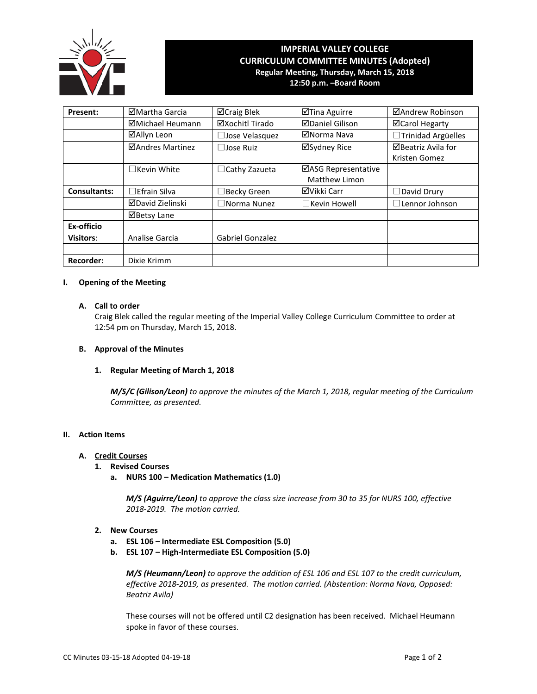

# **IMPERIAL VALLEY COLLEGE CURRICULUM COMMITTEE MINUTES (Adopted) Regular Meeting, Thursday, March 15, 2018 12:50 p.m. –Board Room**

**Present:** Martha Garcia **Martha Carcia Martha Carcia Martha Carcia Martha Carcia Martha Carcia Martha Carcia**  $\Box$ Michael Heumann  $\Box$   $\Box$ Xochitl Tirado  $\Box$   $\Box$  Daniel Gilison  $\Box$   $\Box$  Carol Hegarty

|                     | ⊠Allyn Leon             | $\square$ Jose Velasquez | ⊠Norma Nava          | □Trinidad Argüelles      |
|---------------------|-------------------------|--------------------------|----------------------|--------------------------|
|                     | ⊠Andres Martinez        | $\Box$ Jose Ruiz         | ⊠Sydney Rice         | ⊠Beatriz Avila for       |
|                     |                         |                          |                      | Kristen Gomez            |
|                     | $\Box$ Kevin White      | $\Box$ Cathy Zazueta     | ⊠ASG Representative  |                          |
|                     |                         |                          | <b>Matthew Limon</b> |                          |
| <b>Consultants:</b> | $\Box$ Efrain Silva     | $\Box$ Becky Green       | ⊠Vikki Carr          | $\Box$ David Drury       |
|                     | <b>ØDavid Zielinski</b> | $\square$ Norma Nunez    | $\Box$ Kevin Howell  | $\square$ Lennor Johnson |
|                     | ⊠Betsy Lane             |                          |                      |                          |
| Ex-officio          |                         |                          |                      |                          |
| <b>Visitors:</b>    | Analise Garcia          | Gabriel Gonzalez         |                      |                          |
|                     |                         |                          |                      |                          |
| <b>Recorder:</b>    | Dixie Krimm             |                          |                      |                          |

# **I. Opening of the Meeting**

# **A. Call to order**

Craig Blek called the regular meeting of the Imperial Valley College Curriculum Committee to order at 12:54 pm on Thursday, March 15, 2018.

## **B. Approval of the Minutes**

## **1. Regular Meeting of March 1, 2018**

*M/S/C (Gilison/Leon) to approve the minutes of the March 1, 2018, regular meeting of the Curriculum Committee, as presented.* 

## **II. Action Items**

#### **A. Credit Courses**

- **1. Revised Courses**
	- **a. NURS 100 – Medication Mathematics (1.0)**

*M/S (Aguirre/Leon) to approve the class size increase from 30 to 35 for NURS 100, effective 2018-2019. The motion carried.*

- **2. New Courses**
	- **a. ESL 106 – Intermediate ESL Composition (5.0)**
	- **b. ESL 107 – High-Intermediate ESL Composition (5.0)**

*M/S (Heumann/Leon) to approve the addition of ESL 106 and ESL 107 to the credit curriculum, effective 2018-2019, as presented. The motion carried. (Abstention: Norma Nava, Opposed: Beatriz Avila)*

These courses will not be offered until C2 designation has been received. Michael Heumann spoke in favor of these courses.